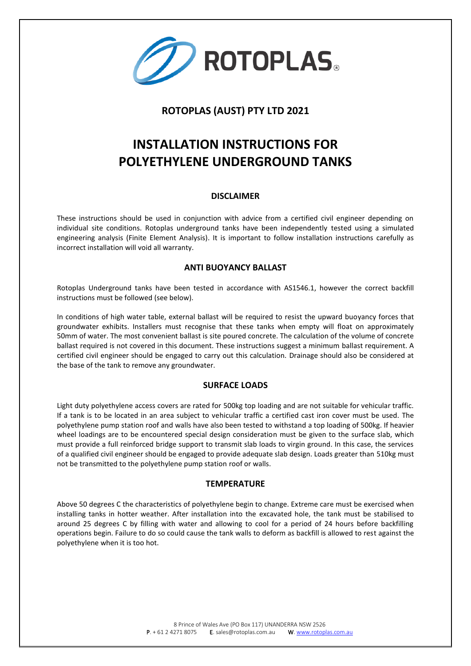

# **ROTOPLAS (AUST) PTY LTD 2021**

# **INSTALLATION INSTRUCTIONS FOR POLYETHYLENE UNDERGROUND TANKS**

#### **DISCLAIMER**

These instructions should be used in conjunction with advice from a certified civil engineer depending on individual site conditions. Rotoplas underground tanks have been independently tested using a simulated engineering analysis (Finite Element Analysis). It is important to follow installation instructions carefully as incorrect installation will void all warranty.

## **ANTI BUOYANCY BALLAST**

Rotoplas Underground tanks have been tested in accordance with AS1546.1, however the correct backfill instructions must be followed (see below).

In conditions of high water table, external ballast will be required to resist the upward buoyancy forces that groundwater exhibits. Installers must recognise that these tanks when empty will float on approximately 50mm of water. The most convenient ballast is site poured concrete. The calculation of the volume of concrete ballast required is not covered in this document. These instructions suggest a minimum ballast requirement. A certified civil engineer should be engaged to carry out this calculation. Drainage should also be considered at the base of the tank to remove any groundwater.

#### **SURFACE LOADS**

Light duty polyethylene access covers are rated for 500kg top loading and are not suitable for vehicular traffic. If a tank is to be located in an area subject to vehicular traffic a certified cast iron cover must be used. The polyethylene pump station roof and walls have also been tested to withstand a top loading of 500kg. If heavier wheel loadings are to be encountered special design consideration must be given to the surface slab, which must provide a full reinforced bridge support to transmit slab loads to virgin ground. In this case, the services of a qualified civil engineer should be engaged to provide adequate slab design. Loads greater than 510kg must not be transmitted to the polyethylene pump station roof or walls.

#### **TEMPERATURE**

Above 50 degrees C the characteristics of polyethylene begin to change. Extreme care must be exercised when installing tanks in hotter weather. After installation into the excavated hole, the tank must be stabilised to around 25 degrees C by filling with water and allowing to cool for a period of 24 hours before backfilling operations begin. Failure to do so could cause the tank walls to deform as backfill is allowed to rest against the polyethylene when it is too hot.